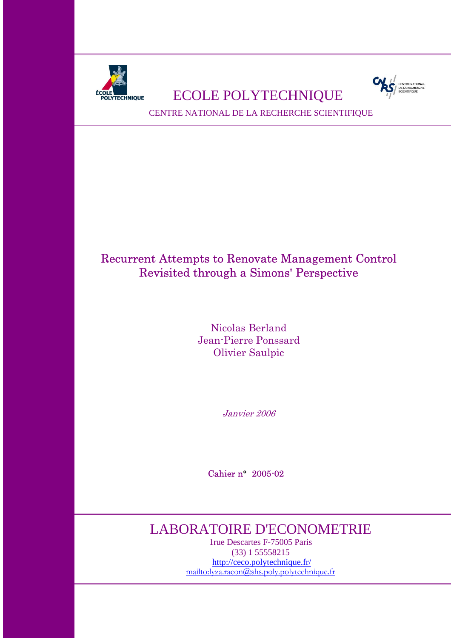

# **ECHNIQUE BOLYTECHNIQUE**



CENTRE NATIONAL DE LA RECHERCHE SCIENTIFIQUE

## Recurrent Attempts to Renovate Management Control Revisited through a Simons' Perspective

Nicolas Berland Jean-Pierre Ponssard Olivier Saulpic

Janvier 2006

Cahier n° 2005-02

## LABORATOIRE D'ECONOMETRIE

1rue Descartes F-75005 Paris (33) 1 55558215 http://ceco.polytechnique.fr/ mailto:lyza.racon@shs.poly.polytechnique.fr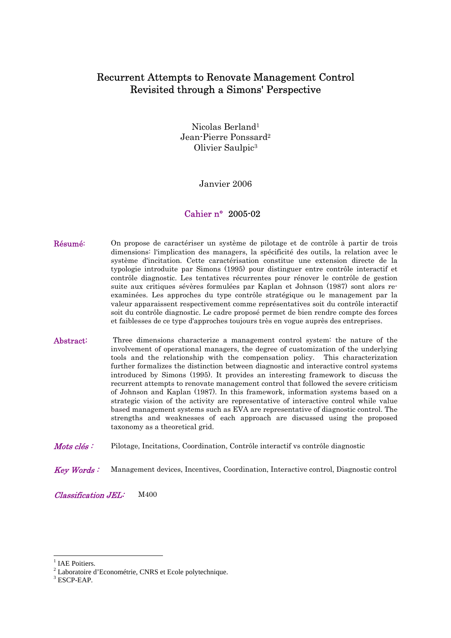## Recurrent Attempts to Renovate Management Control Revisited through a Simons' Perspective

Nicolas Berland1 Jean-Pierre Ponssard2 Olivier Saulpic3

Janvier 2006

## Cahier n° 2005-02

- Résumé: On propose de caractériser un système de pilotage et de contrôle à partir de trois dimensions: l'implication des managers, la spécificité des outils, la relation avec le système d'incitation. Cette caractérisation constitue une extension directe de la typologie introduite par Simons (1995) pour distinguer entre contrôle interactif et contrôle diagnostic. Les tentatives récurrentes pour rénover le contrôle de gestion suite aux critiques sévères formulées par Kaplan et Johnson (1987) sont alors reexaminées. Les approches du type contrôle stratégique ou le management par la valeur apparaissent respectivement comme représentatives soit du contrôle interactif soit du contrôle diagnostic. Le cadre proposé permet de bien rendre compte des forces et faiblesses de ce type d'approches toujours très en vogue auprès des entreprises.
- Abstract: Three dimensions characterize a management control system: the nature of the involvement of operational managers, the degree of customization of the underlying tools and the relationship with the compensation policy. This characterization further formalizes the distinction between diagnostic and interactive control systems introduced by Simons (1995). It provides an interesting framework to discuss the recurrent attempts to renovate management control that followed the severe criticism of Johnson and Kaplan (1987). In this framework, information systems based on a strategic vision of the activity are representative of interactive control while value based management systems such as EVA are representative of diagnostic control. The strengths and weaknesses of each approach are discussed using the proposed taxonomy as a theoretical grid.
- Mots clés: Pilotage, Incitations, Coordination, Contrôle interactif vs contrôle diagnostic
- Key Words : Management devices, Incentives, Coordination, Interactive control, Diagnostic control

Classification JEL: M400

-

<sup>&</sup>lt;sup>1</sup> IAE Poitiers.

<sup>&</sup>lt;sup>2</sup> Laboratoire d'Econométrie, CNRS et Ecole polytechnique.

 $3$  ESCP-EAP.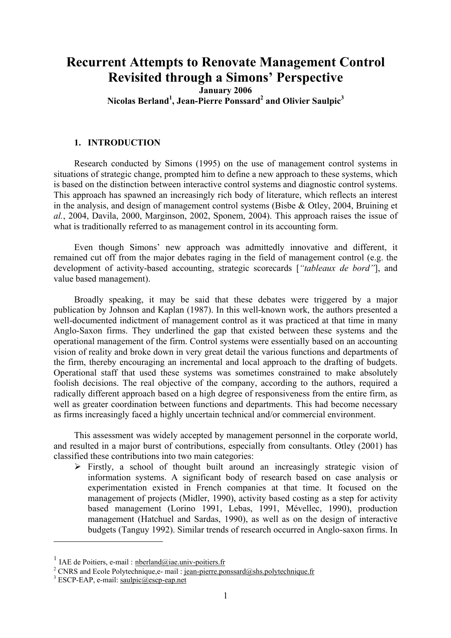## **Recurrent Attempts to Renovate Management Control Revisited through a Simons' Perspective**

**January 2006** 

Nicolas Berland<sup>1</sup>, Jean-Pierre Ponssard<sup>2</sup> and Olivier Saulpic<sup>3</sup>

## **1. INTRODUCTION**

Research conducted by Simons (1995) on the use of management control systems in situations of strategic change, prompted him to define a new approach to these systems, which is based on the distinction between interactive control systems and diagnostic control systems. This approach has spawned an increasingly rich body of literature, which reflects an interest in the analysis, and design of management control systems (Bisbe & Otley, 2004, Bruining et *al.*, 2004, Davila, 2000, Marginson, 2002, Sponem, 2004). This approach raises the issue of what is traditionally referred to as management control in its accounting form.

Even though Simons' new approach was admittedly innovative and different, it remained cut off from the major debates raging in the field of management control (e.g. the development of activity-based accounting, strategic scorecards [*"tableaux de bord"*], and value based management).

Broadly speaking, it may be said that these debates were triggered by a major publication by Johnson and Kaplan (1987). In this well-known work, the authors presented a well-documented indictment of management control as it was practiced at that time in many Anglo-Saxon firms. They underlined the gap that existed between these systems and the operational management of the firm. Control systems were essentially based on an accounting vision of reality and broke down in very great detail the various functions and departments of the firm, thereby encouraging an incremental and local approach to the drafting of budgets. Operational staff that used these systems was sometimes constrained to make absolutely foolish decisions. The real objective of the company, according to the authors, required a radically different approach based on a high degree of responsiveness from the entire firm, as well as greater coordination between functions and departments. This had become necessary as firms increasingly faced a highly uncertain technical and/or commercial environment.

This assessment was widely accepted by management personnel in the corporate world, and resulted in a major burst of contributions, especially from consultants. Otley (2001) has classified these contributions into two main categories:

 $\triangleright$  Firstly, a school of thought built around an increasingly strategic vision of information systems. A significant body of research based on case analysis or experimentation existed in French companies at that time. It focused on the management of projects (Midler, 1990), activity based costing as a step for activity based management (Lorino 1991, Lebas, 1991, Mévellec, 1990), production management (Hatchuel and Sardas, 1990), as well as on the design of interactive budgets (Tanguy 1992). Similar trends of research occurred in Anglo-saxon firms. In

1

<sup>&</sup>lt;sup>1</sup> IAE de Poitiers, e-mail :  $\frac{1}{2}$  nberland@iae.univ-poitiers.fr

<sup>&</sup>lt;sup>2</sup> CNRS and Ecole Polytechnique, e- mail : jean-pierre.ponssard@shs.polytechnique.fr

<sup>&</sup>lt;sup>3</sup> ESCP-EAP, e-mail: saulpic@escp-eap.net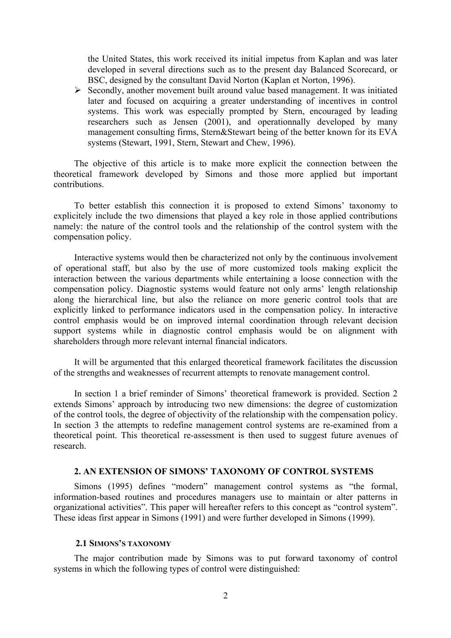the United States, this work received its initial impetus from Kaplan and was later developed in several directions such as to the present day Balanced Scorecard, or BSC, designed by the consultant David Norton (Kaplan et Norton, 1996).

 $\triangleright$  Secondly, another movement built around value based management. It was initiated later and focused on acquiring a greater understanding of incentives in control systems. This work was especially prompted by Stern, encouraged by leading researchers such as Jensen (2001), and operationnally developed by many management consulting firms, Stern&Stewart being of the better known for its EVA systems (Stewart, 1991, Stern, Stewart and Chew, 1996).

The objective of this article is to make more explicit the connection between the theoretical framework developed by Simons and those more applied but important contributions.

To better establish this connection it is proposed to extend Simons' taxonomy to explicitely include the two dimensions that played a key role in those applied contributions namely: the nature of the control tools and the relationship of the control system with the compensation policy.

Interactive systems would then be characterized not only by the continuous involvement of operational staff, but also by the use of more customized tools making explicit the interaction between the various departments while entertaining a loose connection with the compensation policy. Diagnostic systems would feature not only arms' length relationship along the hierarchical line, but also the reliance on more generic control tools that are explicitly linked to performance indicators used in the compensation policy. In interactive control emphasis would be on improved internal coordination through relevant decision support systems while in diagnostic control emphasis would be on alignment with shareholders through more relevant internal financial indicators.

It will be argumented that this enlarged theoretical framework facilitates the discussion of the strengths and weaknesses of recurrent attempts to renovate management control.

In section 1 a brief reminder of Simons' theoretical framework is provided. Section 2 extends Simons' approach by introducing two new dimensions: the degree of customization of the control tools, the degree of objectivity of the relationship with the compensation policy. In section 3 the attempts to redefine management control systems are re-examined from a theoretical point. This theoretical re-assessment is then used to suggest future avenues of research.

## **2. AN EXTENSION OF SIMONS' TAXONOMY OF CONTROL SYSTEMS**

Simons (1995) defines "modern" management control systems as "the formal, information-based routines and procedures managers use to maintain or alter patterns in organizational activities". This paper will hereafter refers to this concept as "control system". These ideas first appear in Simons (1991) and were further developed in Simons (1999).

#### **2.1 SIMONS'S TAXONOMY**

The major contribution made by Simons was to put forward taxonomy of control systems in which the following types of control were distinguished: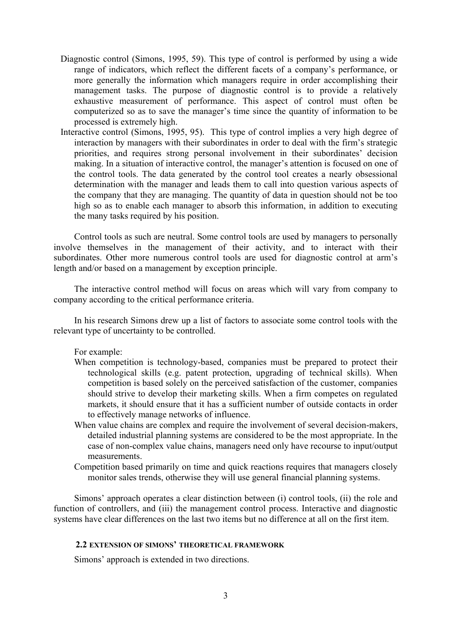- Diagnostic control (Simons, 1995, 59). This type of control is performed by using a wide range of indicators, which reflect the different facets of a company's performance, or more generally the information which managers require in order accomplishing their management tasks. The purpose of diagnostic control is to provide a relatively exhaustive measurement of performance. This aspect of control must often be computerized so as to save the manager's time since the quantity of information to be processed is extremely high.
- Interactive control (Simons, 1995, 95). This type of control implies a very high degree of interaction by managers with their subordinates in order to deal with the firm's strategic priorities, and requires strong personal involvement in their subordinates' decision making. In a situation of interactive control, the manager's attention is focused on one of the control tools. The data generated by the control tool creates a nearly obsessional determination with the manager and leads them to call into question various aspects of the company that they are managing. The quantity of data in question should not be too high so as to enable each manager to absorb this information, in addition to executing the many tasks required by his position.

Control tools as such are neutral. Some control tools are used by managers to personally involve themselves in the management of their activity, and to interact with their subordinates. Other more numerous control tools are used for diagnostic control at arm's length and/or based on a management by exception principle.

The interactive control method will focus on areas which will vary from company to company according to the critical performance criteria.

In his research Simons drew up a list of factors to associate some control tools with the relevant type of uncertainty to be controlled.

For example:

- When competition is technology-based, companies must be prepared to protect their technological skills (e.g. patent protection, upgrading of technical skills). When competition is based solely on the perceived satisfaction of the customer, companies should strive to develop their marketing skills. When a firm competes on regulated markets, it should ensure that it has a sufficient number of outside contacts in order to effectively manage networks of influence.
- When value chains are complex and require the involvement of several decision-makers, detailed industrial planning systems are considered to be the most appropriate. In the case of non-complex value chains, managers need only have recourse to input/output measurements.
- Competition based primarily on time and quick reactions requires that managers closely monitor sales trends, otherwise they will use general financial planning systems.

Simons' approach operates a clear distinction between (i) control tools, (ii) the role and function of controllers, and (iii) the management control process. Interactive and diagnostic systems have clear differences on the last two items but no difference at all on the first item.

#### **2.2 EXTENSION OF SIMONS' THEORETICAL FRAMEWORK**

Simons' approach is extended in two directions.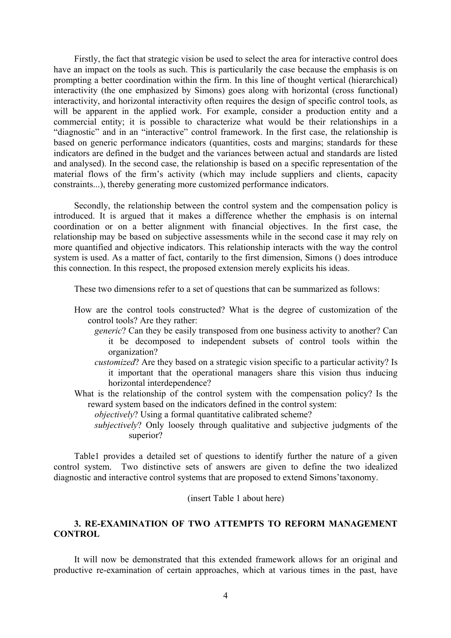Firstly, the fact that strategic vision be used to select the area for interactive control does have an impact on the tools as such. This is particularily the case because the emphasis is on prompting a better coordination within the firm. In this line of thought vertical (hierarchical) interactivity (the one emphasized by Simons) goes along with horizontal (cross functional) interactivity, and horizontal interactivity often requires the design of specific control tools, as will be apparent in the applied work. For example, consider a production entity and a commercial entity; it is possible to characterize what would be their relationships in a "diagnostic" and in an "interactive" control framework. In the first case, the relationship is based on generic performance indicators (quantities, costs and margins; standards for these indicators are defined in the budget and the variances between actual and standards are listed and analysed). In the second case, the relationship is based on a specific representation of the material flows of the firm's activity (which may include suppliers and clients, capacity constraints...), thereby generating more customized performance indicators.

Secondly, the relationship between the control system and the compensation policy is introduced. It is argued that it makes a difference whether the emphasis is on internal coordination or on a better alignment with financial objectives. In the first case, the relationship may be based on subjective assessments while in the second case it may rely on more quantified and objective indicators. This relationship interacts with the way the control system is used. As a matter of fact, contarily to the first dimension, Simons () does introduce this connection. In this respect, the proposed extension merely explicits his ideas.

These two dimensions refer to a set of questions that can be summarized as follows:

- How are the control tools constructed? What is the degree of customization of the control tools? Are they rather:
	- *generic*? Can they be easily transposed from one business activity to another? Can it be decomposed to independent subsets of control tools within the organization?
	- *customized*? Are they based on a strategic vision specific to a particular activity? Is it important that the operational managers share this vision thus inducing horizontal interdependence?
- What is the relationship of the control system with the compensation policy? Is the reward system based on the indicators defined in the control system:
	- *objectively*? Using a formal quantitative calibrated scheme?
	- *subjectively*? Only loosely through qualitative and subjective judgments of the superior?

Table1 provides a detailed set of questions to identify further the nature of a given control system. Two distinctive sets of answers are given to define the two idealized diagnostic and interactive control systems that are proposed to extend Simons'taxonomy.

(insert Table 1 about here)

## **3. RE-EXAMINATION OF TWO ATTEMPTS TO REFORM MANAGEMENT CONTROL**

It will now be demonstrated that this extended framework allows for an original and productive re-examination of certain approaches, which at various times in the past, have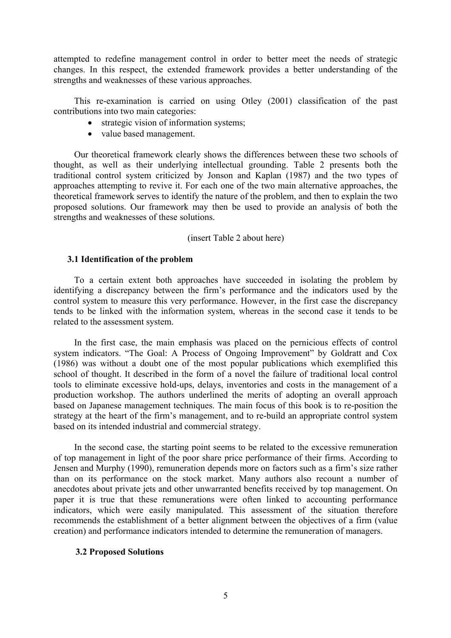attempted to redefine management control in order to better meet the needs of strategic changes. In this respect, the extended framework provides a better understanding of the strengths and weaknesses of these various approaches.

This re-examination is carried on using Otley (2001) classification of the past contributions into two main categories:

- strategic vision of information systems;
- value based management.

Our theoretical framework clearly shows the differences between these two schools of thought, as well as their underlying intellectual grounding. Table 2 presents both the traditional control system criticized by Jonson and Kaplan (1987) and the two types of approaches attempting to revive it. For each one of the two main alternative approaches, the theoretical framework serves to identify the nature of the problem, and then to explain the two proposed solutions. Our framework may then be used to provide an analysis of both the strengths and weaknesses of these solutions.

## (insert Table 2 about here)

## **3.1 Identification of the problem**

To a certain extent both approaches have succeeded in isolating the problem by identifying a discrepancy between the firm's performance and the indicators used by the control system to measure this very performance. However, in the first case the discrepancy tends to be linked with the information system, whereas in the second case it tends to be related to the assessment system.

In the first case, the main emphasis was placed on the pernicious effects of control system indicators. "The Goal: A Process of Ongoing Improvement" by Goldratt and Cox (1986) was without a doubt one of the most popular publications which exemplified this school of thought. It described in the form of a novel the failure of traditional local control tools to eliminate excessive hold-ups, delays, inventories and costs in the management of a production workshop. The authors underlined the merits of adopting an overall approach based on Japanese management techniques. The main focus of this book is to re-position the strategy at the heart of the firm's management, and to re-build an appropriate control system based on its intended industrial and commercial strategy.

In the second case, the starting point seems to be related to the excessive remuneration of top management in light of the poor share price performance of their firms. According to Jensen and Murphy (1990), remuneration depends more on factors such as a firm's size rather than on its performance on the stock market. Many authors also recount a number of anecdotes about private jets and other unwarranted benefits received by top management. On paper it is true that these remunerations were often linked to accounting performance indicators, which were easily manipulated. This assessment of the situation therefore recommends the establishment of a better alignment between the objectives of a firm (value creation) and performance indicators intended to determine the remuneration of managers.

## **3.2 Proposed Solutions**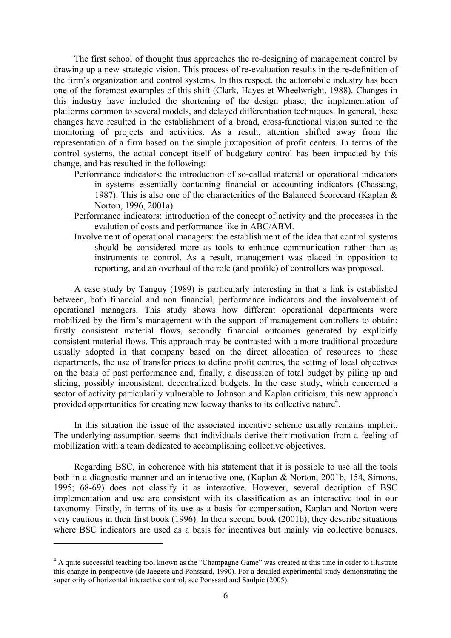The first school of thought thus approaches the re-designing of management control by drawing up a new strategic vision. This process of re-evaluation results in the re-definition of the firm's organization and control systems. In this respect, the automobile industry has been one of the foremost examples of this shift (Clark, Hayes et Wheelwright, 1988). Changes in this industry have included the shortening of the design phase, the implementation of platforms common to several models, and delayed differentiation techniques. In general, these changes have resulted in the establishment of a broad, cross-functional vision suited to the monitoring of projects and activities. As a result, attention shifted away from the representation of a firm based on the simple juxtaposition of profit centers. In terms of the control systems, the actual concept itself of budgetary control has been impacted by this change, and has resulted in the following:

- Performance indicators: the introduction of so-called material or operational indicators in systems essentially containing financial or accounting indicators (Chassang, 1987). This is also one of the characteritics of the Balanced Scorecard (Kaplan & Norton, 1996, 2001a)
- Performance indicators: introduction of the concept of activity and the processes in the evalution of costs and performance like in ABC/ABM.
- Involvement of operational managers: the establishment of the idea that control systems should be considered more as tools to enhance communication rather than as instruments to control. As a result, management was placed in opposition to reporting, and an overhaul of the role (and profile) of controllers was proposed.

A case study by Tanguy (1989) is particularly interesting in that a link is established between, both financial and non financial, performance indicators and the involvement of operational managers. This study shows how different operational departments were mobilized by the firm's management with the support of management controllers to obtain: firstly consistent material flows, secondly financial outcomes generated by explicitly consistent material flows. This approach may be contrasted with a more traditional procedure usually adopted in that company based on the direct allocation of resources to these departments, the use of transfer prices to define profit centres, the setting of local objectives on the basis of past performance and, finally, a discussion of total budget by piling up and slicing, possibly inconsistent, decentralized budgets. In the case study, which concerned a sector of activity particularily vulnerable to Johnson and Kaplan criticism, this new approach provided opportunities for creating new leeway thanks to its collective nature<sup>4</sup>.

In this situation the issue of the associated incentive scheme usually remains implicit. The underlying assumption seems that individuals derive their motivation from a feeling of mobilization with a team dedicated to accomplishing collective objectives.

Regarding BSC, in coherence with his statement that it is possible to use all the tools both in a diagnostic manner and an interactive one, (Kaplan & Norton, 2001b, 154, Simons, 1995; 68-69) does not classify it as interactive. However, several decription of BSC implementation and use are consistent with its classification as an interactive tool in our taxonomy. Firstly, in terms of its use as a basis for compensation, Kaplan and Norton were very cautious in their first book (1996). In their second book (2001b), they describe situations where BSC indicators are used as a basis for incentives but mainly via collective bonuses.

1

<sup>&</sup>lt;sup>4</sup> A quite successful teaching tool known as the "Champagne Game" was created at this time in order to illustrate this change in perspective (de Jaegere and Ponssard, 1990). For a detailed experimental study demonstrating the superiority of horizontal interactive control, see Ponssard and Saulpic (2005).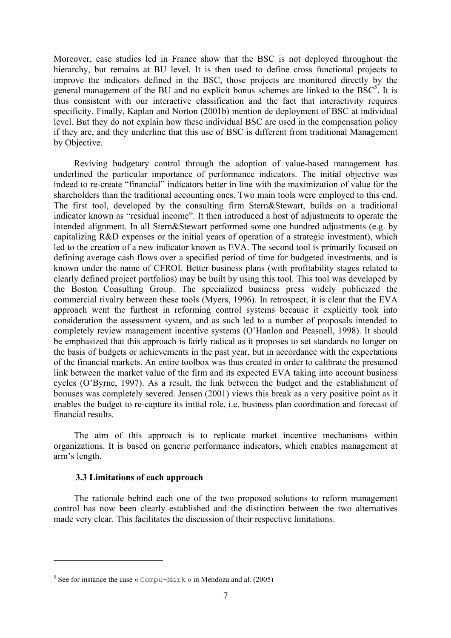Moreover, case studies led in France show that the BSC is not deployed throughout the hierarchy, but remains at BU level. It is then used to define cross functional projects to improve the indicators defined in the BSC, those projects are monitored directly by the general management of the BU and no explicit bonus schemes are linked to the  $BSC<sup>5</sup>$ . It is thus consistent with our interactive classification and the fact that interactivity requires specificity. Finally, Kaplan and Norton (2001b) mention de deployment of BSC at individual level. But they do not explain how these individual BSC are used in the compensation policy if they are, and they underline that this use of BSC is different from traditional Management by Objective.

Reviving budgetary control through the adoption of value-based management has underlined the particular importance of performance indicators. The initial objective was indeed to re-create "financial" indicators better in line with the maximization of value for the shareholders than the traditional accounting ones. Two main tools were employed to this end. The first tool, developed by the consulting firm Stern&Stewart, builds on a traditional indicator known as "residual income". It then introduced a host of adjustments to operate the intended alignment. In all Stern&Stewart performed some one hundred adjustments (e.g. by capitalizing R&D expenses or the initial years of operation of a strategic investment), which led to the creation of a new indicator known as EVA. The second tool is primarily focused on defining average cash flows over a specified period of time for budgeted investments, and is known under the name of CFROI. Better business plans (with profitability stages related to clearly defined project portfolios) may be built by using this tool. This tool was developed by the Boston Consulting Group. The specialized business press widely publicized the commercial rivalry between these tools (Myers, 1996). In retrospect, it is clear that the EVA approach went the furthest in reforming control systems because it explicitly took into consideration the assessment system, and as such led to a number of proposals intended to completely review management incentive systems (O'Hanlon and Peasnell, 1998). It should be emphasized that this approach is fairly radical as it proposes to set standards no longer on the basis of budgets or achievements in the past year, but in accordance with the expectations of the financial markets. An entire toolbox was thus created in order to calibrate the presumed link between the market value of the firm and its expected EVA taking into account business cycles (O'Byrne, 1997). As a result, the link between the budget and the establishment of bonuses was completely severed. Jensen (2001) views this break as a very positive point as it enables the budget to re-capture its initial role, i.e. business plan coordination and forecast of financial results.

The aim of this approach is to replicate market incentive mechanisms within organizations. It is based on generic performance indicators, which enables management at arm's length.

## **3.3 Limitations of each approach**

1

The rationale behind each one of the two proposed solutions to reform management control has now been clearly established and the distinction between the two alternatives made very clear. This facilitates the discussion of their respective limitations.

<sup>&</sup>lt;sup>5</sup> See for instance the case « Compu-Mark » in Mendoza and al. (2005)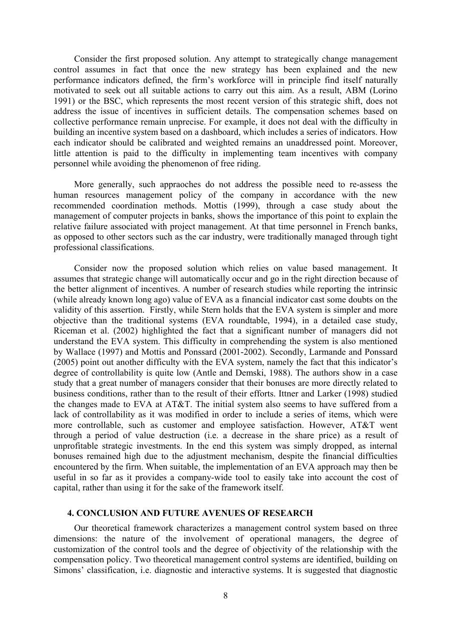Consider the first proposed solution. Any attempt to strategically change management control assumes in fact that once the new strategy has been explained and the new performance indicators defined, the firm's workforce will in principle find itself naturally motivated to seek out all suitable actions to carry out this aim. As a result, ABM (Lorino 1991) or the BSC, which represents the most recent version of this strategic shift, does not address the issue of incentives in sufficient details. The compensation schemes based on collective performance remain unprecise. For example, it does not deal with the difficulty in building an incentive system based on a dashboard, which includes a series of indicators. How each indicator should be calibrated and weighted remains an unaddressed point. Moreover, little attention is paid to the difficulty in implementing team incentives with company personnel while avoiding the phenomenon of free riding.

More generally, such appraoches do not address the possible need to re-assess the human resources management policy of the company in accordance with the new recommended coordination methods. Mottis (1999), through a case study about the management of computer projects in banks, shows the importance of this point to explain the relative failure associated with project management. At that time personnel in French banks, as opposed to other sectors such as the car industry, were traditionally managed through tight professional classifications.

Consider now the proposed solution which relies on value based management. It assumes that strategic change will automatically occur and go in the right direction because of the better alignment of incentives. A number of research studies while reporting the intrinsic (while already known long ago) value of EVA as a financial indicator cast some doubts on the validity of this assertion. Firstly, while Stern holds that the EVA system is simpler and more objective than the traditional systems (EVA roundtable, 1994), in a detailed case study, Riceman et al. (2002) highlighted the fact that a significant number of managers did not understand the EVA system. This difficulty in comprehending the system is also mentioned by Wallace (1997) and Mottis and Ponssard (2001-2002). Secondly, Larmande and Ponssard (2005) point out another difficulty with the EVA system, namely the fact that this indicator's degree of controllability is quite low (Antle and Demski, 1988). The authors show in a case study that a great number of managers consider that their bonuses are more directly related to business conditions, rather than to the result of their efforts. Ittner and Larker (1998) studied the changes made to EVA at AT&T. The initial system also seems to have suffered from a lack of controllability as it was modified in order to include a series of items, which were more controllable, such as customer and employee satisfaction. However, AT&T went through a period of value destruction (i.e. a decrease in the share price) as a result of unprofitable strategic investments. In the end this system was simply dropped, as internal bonuses remained high due to the adjustment mechanism, despite the financial difficulties encountered by the firm. When suitable, the implementation of an EVA approach may then be useful in so far as it provides a company-wide tool to easily take into account the cost of capital, rather than using it for the sake of the framework itself.

## **4. CONCLUSION AND FUTURE AVENUES OF RESEARCH**

Our theoretical framework characterizes a management control system based on three dimensions: the nature of the involvement of operational managers, the degree of customization of the control tools and the degree of objectivity of the relationship with the compensation policy. Two theoretical management control systems are identified, building on Simons' classification, i.e. diagnostic and interactive systems. It is suggested that diagnostic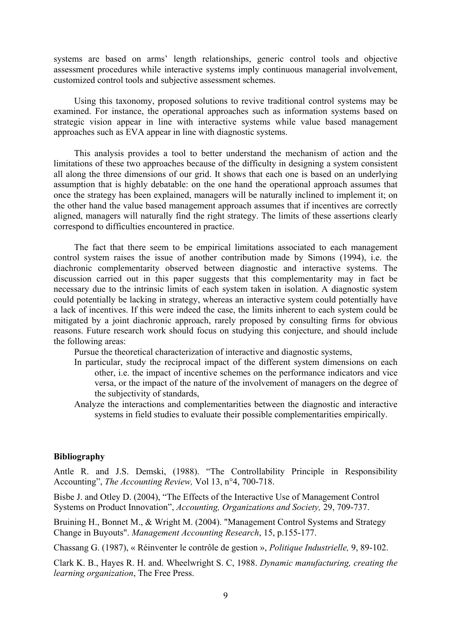systems are based on arms' length relationships, generic control tools and objective assessment procedures while interactive systems imply continuous managerial involvement, customized control tools and subjective assessment schemes.

Using this taxonomy, proposed solutions to revive traditional control systems may be examined. For instance, the operational approaches such as information systems based on strategic vision appear in line with interactive systems while value based management approaches such as EVA appear in line with diagnostic systems.

This analysis provides a tool to better understand the mechanism of action and the limitations of these two approaches because of the difficulty in designing a system consistent all along the three dimensions of our grid. It shows that each one is based on an underlying assumption that is highly debatable: on the one hand the operational approach assumes that once the strategy has been explained, managers will be naturally inclined to implement it; on the other hand the value based management approach assumes that if incentives are correctly aligned, managers will naturally find the right strategy. The limits of these assertions clearly correspond to difficulties encountered in practice.

The fact that there seem to be empirical limitations associated to each management control system raises the issue of another contribution made by Simons (1994), i.e. the diachronic complementarity observed between diagnostic and interactive systems. The discussion carried out in this paper suggests that this complementarity may in fact be necessary due to the intrinsic limits of each system taken in isolation. A diagnostic system could potentially be lacking in strategy, whereas an interactive system could potentially have a lack of incentives. If this were indeed the case, the limits inherent to each system could be mitigated by a joint diachronic approach, rarely proposed by consulting firms for obvious reasons. Future research work should focus on studying this conjecture, and should include the following areas:

Pursue the theoretical characterization of interactive and diagnostic systems,

- In particular, study the reciprocal impact of the different system dimensions on each other, i.e. the impact of incentive schemes on the performance indicators and vice versa, or the impact of the nature of the involvement of managers on the degree of the subjectivity of standards,
- Analyze the interactions and complementarities between the diagnostic and interactive systems in field studies to evaluate their possible complementarities empirically.

## **Bibliography**

Antle R. and J.S. Demski, (1988). "The Controllability Principle in Responsibility Accounting", *The Accounting Review,* Vol 13, n°4, 700-718.

Bisbe J. and Otley D. (2004), "The Effects of the Interactive Use of Management Control Systems on Product Innovation", *Accounting, Organizations and Society,* 29, 709-737.

Bruining H., Bonnet M., & Wright M. (2004). "Management Control Systems and Strategy Change in Buyouts". *Management Accounting Research*, 15, p.155-177.

Chassang G. (1987), « Réinventer le contrôle de gestion », *Politique Industrielle,* 9, 89-102.

Clark K. B., Hayes R. H. and. Wheelwright S. C, 1988. *Dynamic manufacturing, creating the learning organization*, The Free Press.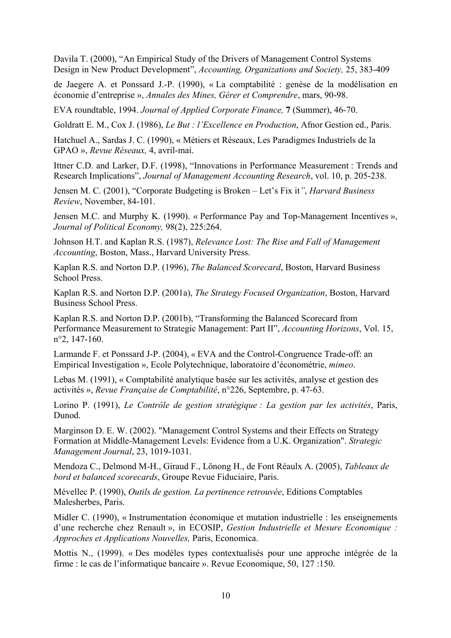Davila T. (2000), "An Empirical Study of the Drivers of Management Control Systems Design in New Product Development", *Accounting, Organizations and Society,* 25, 383-409

de Jaegere A. et Ponssard J.-P. (1990), « La comptabilité : genèse de la modélisation en économie d'entreprise », *Annales des Mines, Gérer et Comprendre*, mars, 90-98.

EVA roundtable, 1994. *Journal of Applied Corporate Finance,* **7** (Summer), 46-70.

Goldratt E. M., Cox J. (1986), *Le But : l'Excellence en Production*, Afnor Gestion ed., Paris.

Hatchuel A., Sardas J. C. (1990), « Métiers et Réseaux, Les Paradigmes Industriels de la GPAO », *Revue Réseaux,* 4, avril-mai.

Ittner C.D. and Larker, D.F. (1998), "Innovations in Performance Measurement : Trends and Research Implications", *Journal of Management Accounting Research*, vol. 10, p. 205-238.

Jensen M. C. (2001), "Corporate Budgeting is Broken – Let's Fix it*"*, *Harvard Business Review*, November, 84-101.

Jensen M.C. and Murphy K. (1990). « Performance Pay and Top-Management Incentives », *Journal of Political Economy,* 98(2), 225:264.

Johnson H.T. and Kaplan R.S. (1987), *Relevance Lost: The Rise and Fall of Management Accounting*, Boston, Mass., Harvard University Press.

Kaplan R.S. and Norton D.P. (1996), *The Balanced Scorecard*, Boston, Harvard Business School Press.

Kaplan R.S. and Norton D.P. (2001a), *The Strategy Focused Organization*, Boston, Harvard Business School Press.

Kaplan R.S. and Norton D.P. (2001b), "Transforming the Balanced Scorecard from Performance Measurement to Strategic Management: Part II", *Accounting Horizons*, Vol. 15, n°2, 147-160.

Larmande F. et Ponssard J-P. (2004), « EVA and the Control-Congruence Trade-off: an Empirical Investigation », Ecole Polytechnique, laboratoire d'économétrie, *mimeo*.

Lebas M. (1991), « Comptabilité analytique basée sur les activités, analyse et gestion des activités », *Revue Française de Comptabilité*, n°226, Septembre, p. 47-63.

Lorino P. (1991), *Le Contrôle de gestion stratégique : La gestion par les activités*, Paris, Dunod.

Marginson D. E. W. (2002). "Management Control Systems and their Effects on Strategy Formation at Middle-Management Levels: Evidence from a U.K. Organization". *Strategic Management Journal*, 23, 1019-1031.

Mendoza C., Delmond M-H., Giraud F., Lönong H., de Font Réaulx A. (2005), *Tableaux de bord et balanced scorecards*, Groupe Revue Fiduciaire, Paris.

Mévellec P. (1990), *Outils de gestion. La pertinence retrouvée*, Editions Comptables Malesherbes, Paris.

Midler C. (1990), « Instrumentation économique et mutation industrielle : les enseignements d'une recherche chez Renault », in ECOSIP, *Gestion Industrielle et Mesure Economique : Approches et Applications Nouvelles,* Paris, Economica.

Mottis N., (1999). « Des modèles types contextualisés pour une approche intégrée de la firme : le cas de l'informatique bancaire ». Revue Economique, 50, 127 :150.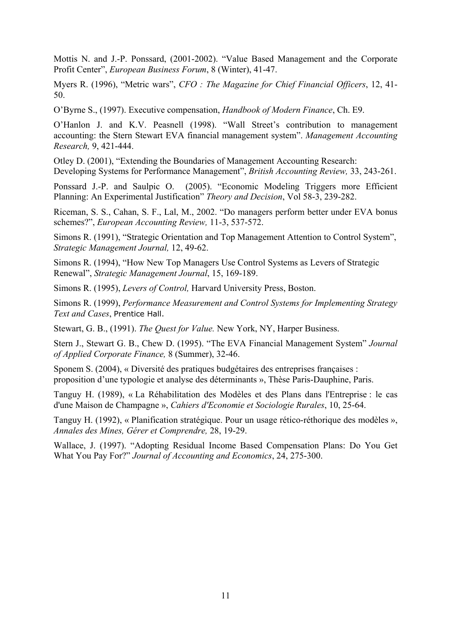Mottis N. and J.-P. Ponssard, (2001-2002). "Value Based Management and the Corporate Profit Center", *European Business Forum*, 8 (Winter), 41-47.

Myers R. (1996), "Metric wars", *CFO : The Magazine for Chief Financial Officers*, 12, 41- 50.

O'Byrne S., (1997). Executive compensation, *Handbook of Modern Finance*, Ch. E9.

O'Hanlon J. and K.V. Peasnell (1998). "Wall Street's contribution to management accounting: the Stern Stewart EVA financial management system". *Management Accounting Research,* 9, 421-444.

Otley D. (2001), "Extending the Boundaries of Management Accounting Research: Developing Systems for Performance Management", *British Accounting Review,* 33, 243-261.

Ponssard J.-P. and Saulpic O. (2005). "Economic Modeling Triggers more Efficient Planning: An Experimental Justification" *Theory and Decision*, Vol 58-3, 239-282.

Riceman, S. S., Cahan, S. F., Lal, M., 2002. "Do managers perform better under EVA bonus schemes?", *European Accounting Review,* 11-3, 537-572.

Simons R. (1991), "Strategic Orientation and Top Management Attention to Control System", *Strategic Management Journal,* 12, 49-62.

Simons R. (1994), "How New Top Managers Use Control Systems as Levers of Strategic Renewal", *Strategic Management Journal*, 15, 169-189.

Simons R. (1995), *Levers of Control,* Harvard University Press, Boston.

Simons R. (1999), *Performance Measurement and Control Systems for Implementing Strategy Text and Cases*, Prentice Hall.

Stewart, G. B., (1991). *The Quest for Value.* New York, NY, Harper Business.

Stern J., Stewart G. B., Chew D. (1995). "The EVA Financial Management System" *Journal of Applied Corporate Finance,* 8 (Summer), 32-46.

Sponem S. (2004), « Diversité des pratiques budgétaires des entreprises françaises : proposition d'une typologie et analyse des déterminants », Thèse Paris-Dauphine, Paris.

Tanguy H. (1989), « La Réhabilitation des Modèles et des Plans dans l'Entreprise : le cas d'une Maison de Champagne », *Cahiers d'Economie et Sociologie Rurales*, 10, 25-64.

Tanguy H. (1992), « Planification stratégique. Pour un usage rético-réthorique des modèles », *Annales des Mines, Gérer et Comprendre,* 28, 19-29.

Wallace, J. (1997). "Adopting Residual Income Based Compensation Plans: Do You Get What You Pay For?" *Journal of Accounting and Economics*, 24, 275-300.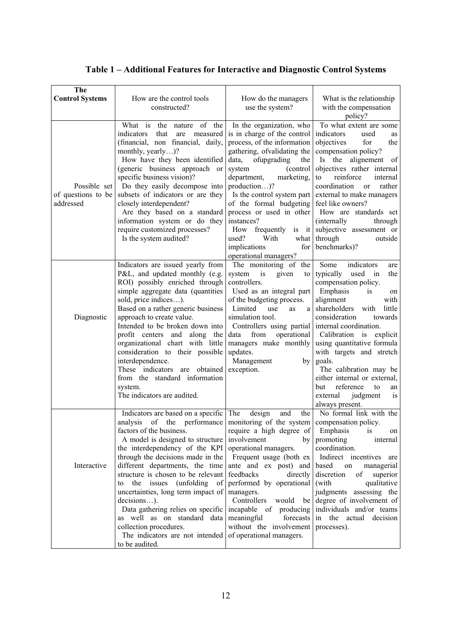|  | Table 1 – Additional Features for Interactive and Diagnostic Control Systems |
|--|------------------------------------------------------------------------------|
|--|------------------------------------------------------------------------------|

| <b>The</b><br><b>Control Systems</b>            | How are the control tools<br>constructed?                                                                                                                                                                                                                                                                                                                                                                                                                                                                                                                                                                                                                                                                                                                                                  | How do the managers<br>use the system?                                                                                                                                                                                                                                                                                                                                                                                         | What is the relationship<br>with the compensation<br>policy?                                                                                                                                                                                                                                                                                                                                                                                                 |
|-------------------------------------------------|--------------------------------------------------------------------------------------------------------------------------------------------------------------------------------------------------------------------------------------------------------------------------------------------------------------------------------------------------------------------------------------------------------------------------------------------------------------------------------------------------------------------------------------------------------------------------------------------------------------------------------------------------------------------------------------------------------------------------------------------------------------------------------------------|--------------------------------------------------------------------------------------------------------------------------------------------------------------------------------------------------------------------------------------------------------------------------------------------------------------------------------------------------------------------------------------------------------------------------------|--------------------------------------------------------------------------------------------------------------------------------------------------------------------------------------------------------------------------------------------------------------------------------------------------------------------------------------------------------------------------------------------------------------------------------------------------------------|
| Possible set<br>of questions to be<br>addressed | What is the nature of the<br>indicators<br>that<br>measured<br>are<br>(financial, non financial, daily,<br>monthly, yearly)?<br>How have they been identified<br>(generic business approach or<br>specific business vision)?<br>Do they easily decompose into<br>subsets of indicators or are they<br>closely interdependent?<br>Are they based on a standard<br>information system or do they<br>require customized processes?<br>Is the system audited?                                                                                                                                                                                                                                                                                                                                  | In the organization, who<br>is in charge of the control<br>process, of the information<br>gathering, of validating the<br>data, ofupgrading<br>the<br>system<br>(control<br>department,<br>marketing,<br>production)?<br>Is the control system part<br>of the formal budgeting<br>process or used in other<br>instances?<br>How frequently<br>$is$ it<br>used?<br>With<br>what<br>implications<br>for<br>operational managers? | To what extent are some<br>indicators<br>used<br>as<br>objectives<br>for<br>the<br>compensation policy?<br>Is the alignement of<br>objectives rather internal<br>reinforce<br>to<br>internal<br>coordination<br>rather<br><sub>or</sub><br>external to make managers<br>feel like owners?<br>How are standards set<br>(internally)<br>through<br>subjective assessment or<br>through<br>outside<br>benchmarks)?                                              |
| Diagnostic                                      | Indicators are issued yearly from<br>P&L, and updated monthly (e.g.<br>ROI) possibly enriched through<br>simple aggregate data (quantities<br>sold, price indices).<br>Based on a rather generic business<br>approach to create value.<br>Intended to be broken down into<br>profit centers and along the<br>organizational chart with little<br>consideration to their possible<br>interdependence.<br>These indicators are obtained<br>from the standard information<br>system.<br>The indicators are audited.                                                                                                                                                                                                                                                                           | The monitoring of the<br>system<br>is<br>given<br>to<br>controllers.<br>Used as an integral part<br>of the budgeting process.<br>Limited<br>use<br>a<br>as<br>simulation tool.<br>Controllers using partial<br>operational<br>data<br>from<br>managers make monthly<br>updates.<br>Management<br>by<br>exception.                                                                                                              | Some<br>indicators<br>are<br>typically used in<br>the<br>compensation policy.<br>Emphasis<br>is<br>on<br>alignment<br>with<br>shareholders<br>little<br>with<br>consideration<br>towards<br>internal coordination.<br>Calibration is explicit<br>using quantitative formula<br>with targets and stretch<br>goals.<br>The calibration may be<br>either internal or external,<br>reference<br>but<br>to<br>an<br>external<br>judgment<br>is<br>always present. |
| Interactive                                     | Indicators are based on a specific The<br>analysis of the performance   monitoring of the system   compensation policy.<br>factors of the business.<br>A model is designed to structure involvement<br>the interdependency of the KPI operational managers.<br>through the decisions made in the $\vert$ Frequent usage (both ex $\vert$<br>different departments, the time<br>structure is chosen to be relevant<br>to the issues (unfolding of<br>uncertainties, long term impact of managers.<br>$decisions$ ).<br>Data gathering relies on specific incapable of producing individuals and/or teams<br>as well as on standard data meaningful forecasts in the actual decision<br>collection procedures.<br>The indicators are not intended of operational managers.<br>to be audited. | design<br>the<br>and<br>require a high degree of Emphasis<br>ante and ex post) and based on<br>feedbacks<br>directly<br>performed by operational<br>without the involvement                                                                                                                                                                                                                                                    | No formal link with the<br><i>is</i><br>on<br>by promoting<br>internal<br>coordination.<br>Indirect incentives are<br>managerial<br>discretion of superior<br>(with<br>qualitative<br>judgments assessing the<br>Controllers would be degree of involvement of<br>processes).                                                                                                                                                                                |